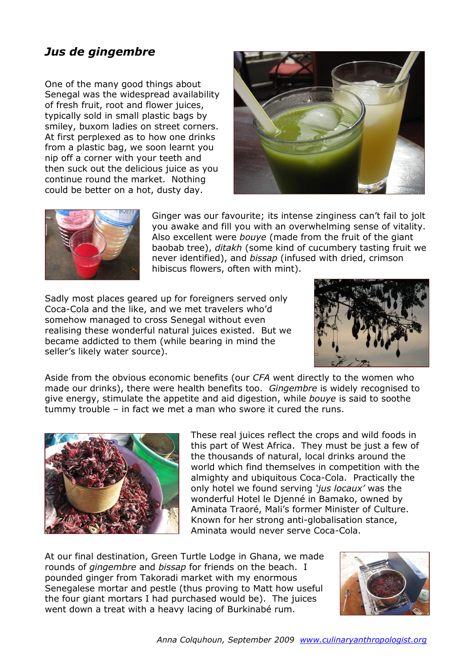## *Jus de gingembre*

One of the many good things about Senegal was the widespread availability of fresh fruit, root and flower juices, typically sold in small plastic bags by smiley, buxom ladies on street corners. At first perplexed as to how one drinks from a plastic bag, we soon learnt you nip off a corner with your teeth and then suck out the delicious juice as you continue round the market. Nothing could be better on a hot, dusty day.





Ginger was our favourite; its intense zinginess can't fail to jolt you awake and fill you with an overwhelming sense of vitality. Also excellent were *bouye* (made from the fruit of the giant baobab tree), *ditakh* (some kind of cucumbery tasting fruit we never identified), and *bissap* (infused with dried, crimson hibiscus flowers, often with mint).

Sadly most places geared up for foreigners served only Coca-Cola and the like, and we met travelers who'd somehow managed to cross Senegal without even realising these wonderful natural juices existed. But we became addicted to them (while bearing in mind the seller's likely water source).



Aside from the obvious economic benefits (our *CFA* went directly to the women who made our drinks), there were health benefits too. *Gingembre* is widely recognised to give energy, stimulate the appetite and aid digestion, while *bouye* is said to soothe tummy trouble – in fact we met a man who swore it cured the runs.



These real juices reflect the crops and wild foods in this part of West Africa. They must be just a few of the thousands of natural, local drinks around the world which find themselves in competition with the almighty and ubiquitous Coca-Cola. Practically the only hotel we found serving *'jus locaux'* was the wonderful Hotel le Djenné in Bamako, owned by Aminata Traoré, Mali's former Minister of Culture. Known for her strong anti-globalisation stance, Aminata would never serve Coca-Cola.

At our final destination, Green Turtle Lodge in Ghana, we made rounds of *gingembre* and *bissap* for friends on the beach. I pounded ginger from Takoradi market with my enormous Senegalese mortar and pestle (thus proving to Matt how useful the four giant mortars I had purchased would be). The juices went down a treat with a heavy lacing of Burkinabé rum.